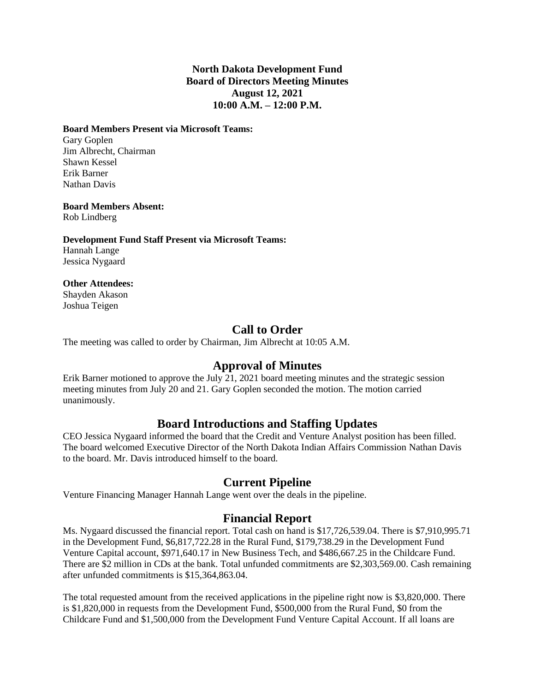### **North Dakota Development Fund Board of Directors Meeting Minutes August 12, 2021 10:00 A.M. – 12:00 P.M.**

#### **Board Members Present via Microsoft Teams:**

Gary Goplen Jim Albrecht, Chairman Shawn Kessel Erik Barner Nathan Davis

**Board Members Absent:**

Rob Lindberg

#### **Development Fund Staff Present via Microsoft Teams:**

Hannah Lange Jessica Nygaard

#### **Other Attendees:**

Shayden Akason Joshua Teigen

## **Call to Order**

The meeting was called to order by Chairman, Jim Albrecht at 10:05 A.M.

## **Approval of Minutes**

Erik Barner motioned to approve the July 21, 2021 board meeting minutes and the strategic session meeting minutes from July 20 and 21. Gary Goplen seconded the motion. The motion carried unanimously.

# **Board Introductions and Staffing Updates**

CEO Jessica Nygaard informed the board that the Credit and Venture Analyst position has been filled. The board welcomed Executive Director of the North Dakota Indian Affairs Commission Nathan Davis to the board. Mr. Davis introduced himself to the board.

# **Current Pipeline**

Venture Financing Manager Hannah Lange went over the deals in the pipeline.

## **Financial Report**

Ms. Nygaard discussed the financial report. Total cash on hand is \$17,726,539.04. There is \$7,910,995.71 in the Development Fund, \$6,817,722.28 in the Rural Fund, \$179,738.29 in the Development Fund Venture Capital account, \$971,640.17 in New Business Tech, and \$486,667.25 in the Childcare Fund. There are \$2 million in CDs at the bank. Total unfunded commitments are \$2,303,569.00. Cash remaining after unfunded commitments is \$15,364,863.04.

The total requested amount from the received applications in the pipeline right now is \$3,820,000. There is \$1,820,000 in requests from the Development Fund, \$500,000 from the Rural Fund, \$0 from the Childcare Fund and \$1,500,000 from the Development Fund Venture Capital Account. If all loans are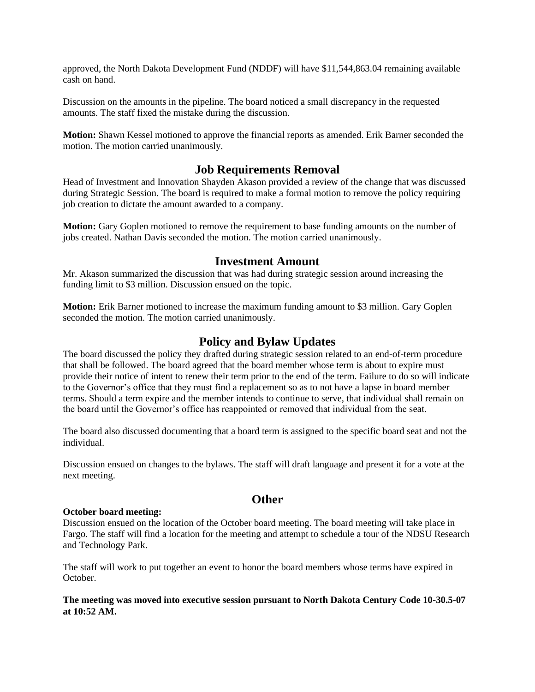approved, the North Dakota Development Fund (NDDF) will have \$11,544,863.04 remaining available cash on hand.

Discussion on the amounts in the pipeline. The board noticed a small discrepancy in the requested amounts. The staff fixed the mistake during the discussion.

**Motion:** Shawn Kessel motioned to approve the financial reports as amended. Erik Barner seconded the motion. The motion carried unanimously.

### **Job Requirements Removal**

Head of Investment and Innovation Shayden Akason provided a review of the change that was discussed during Strategic Session. The board is required to make a formal motion to remove the policy requiring job creation to dictate the amount awarded to a company.

**Motion:** Gary Goplen motioned to remove the requirement to base funding amounts on the number of jobs created. Nathan Davis seconded the motion. The motion carried unanimously.

### **Investment Amount**

Mr. Akason summarized the discussion that was had during strategic session around increasing the funding limit to \$3 million. Discussion ensued on the topic.

**Motion:** Erik Barner motioned to increase the maximum funding amount to \$3 million. Gary Goplen seconded the motion. The motion carried unanimously.

### **Policy and Bylaw Updates**

The board discussed the policy they drafted during strategic session related to an end-of-term procedure that shall be followed. The board agreed that the board member whose term is about to expire must provide their notice of intent to renew their term prior to the end of the term. Failure to do so will indicate to the Governor's office that they must find a replacement so as to not have a lapse in board member terms. Should a term expire and the member intends to continue to serve, that individual shall remain on the board until the Governor's office has reappointed or removed that individual from the seat.

The board also discussed documenting that a board term is assigned to the specific board seat and not the individual.

Discussion ensued on changes to the bylaws. The staff will draft language and present it for a vote at the next meeting.

## **Other**

#### **October board meeting:**

Discussion ensued on the location of the October board meeting. The board meeting will take place in Fargo. The staff will find a location for the meeting and attempt to schedule a tour of the NDSU Research and Technology Park.

The staff will work to put together an event to honor the board members whose terms have expired in October.

#### **The meeting was moved into executive session pursuant to North Dakota Century Code 10-30.5-07 at 10:52 AM.**